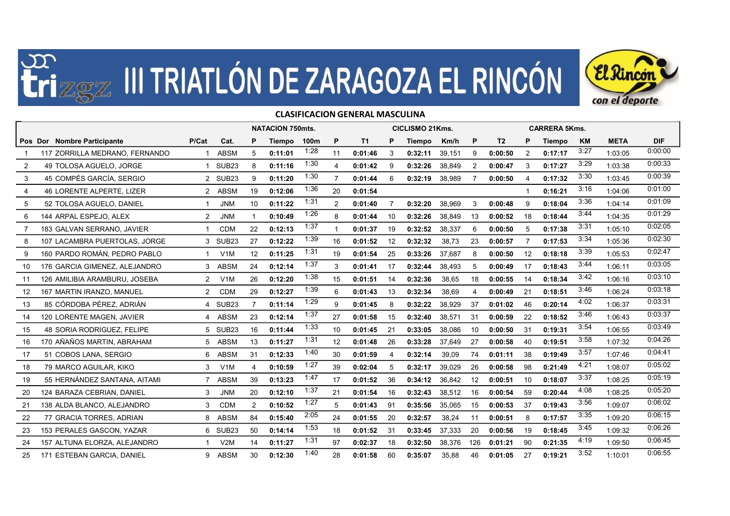



## Pos Dor Nombre Participante **Netal Primetical Cat. P** Tiempo 100m P T1 P Tiempo Km/h P T2 P Tiempo KM META DIF 1 117 ZORRILLA MEDRANO, FERNANDO 1 ABSM 5 0:11:01 1:28 <sup>11</sup> 0:01:46 <sup>3</sup> 0:32:11 39,151 9 0:00:50 <sup>2</sup> 0:17:17 3:27 1:03:05 0:00:00  $2$  49 TOLOSA AGUELO, JORGE  $1$  SUB23 8 0:11:16  $^{1:30}$  4 0:01:42 9 0:32:26 38.849 2 0:00:47 3 0:17:27  $^{3:29}$  1:03:38  $^{0:00:33}$ 3 45 COMPÉS GARCÍA, SERGIO 2 SUB23 9 0:11:20 1:30 <sup>7</sup> 0:01:44 <sup>6</sup> 0:32:19 38,989 7 0:00:50 <sup>4</sup> 0:17:32 3:30 1:03:45 0:00:39 4 46 LORENTE ALPERTE, LIZER 2 ABSM 19 0:12:06 1:36 <sup>20</sup> 0:01:54 <sup>1</sup> 0:16:21 3:16 1:04:06 0:01:00  $5$  52 TOLOSA AGUELO, DANIEL  $1$  JNM 10 0:11:22  $1^{1:31}$  2 0:01:40 7 0:32:20 38.969 3 0:00:48 9 0:18:04  $3^{1:36}$  1:04:14  $0^{1:09}$ 6 144 ARPAL ESPEJO, ALEX 2 JNM 1 0:10:49 <sup>1:26</sup> 8 0:01:44 10 0:32:26 38,849 13 0:00:52 18 0:18:44 <sup>3:44</sup> 1:04:35 <sup>0:01:29</sup> 7 183 GALVAN SERRANO, JAVIER 1 CDM 22 **0:12:13** <sup>1:37</sup> 1 **0:01:37** 19 **0:32:52** 38,337 6 **0:00:50** 5 0:17:38 <sup>3:31</sup> 1:05:10 <sup>0:02:05</sup> NATACION 750mts. CICLISMO 21Kms. CARRERA 5Kms. **DE ZARAGOZA EL RINCÓN EL RIMCON**<br>CLASIFICACION GENERAL MASCULINA<br>
CON 750mts. CLUSMO 21Kms. CAREERA 5Kms.<br>
11:01 1:28 11 0:01:46 3 0:32:11 39,151 9 0:00:50 2 0:17:17 327 1:03:05 0:00<br>
11:01 1:28 1 0:01:46 3 0:32:11 39,15 7 183 GALVAN SERRANO JAVIER 1 CDM 22 0:12:13 <sup>1:37</sup> 1 0:01:37 19 0:32:52 38.337 6 0:00:50 5 0:17:38 <sup>3:31</sup> 1:05:10 8 107 LACAMBRA PUERTOLAS, JORGE 3 SUB23 27 0:12:22 1:39 <sup>16</sup> 0:01:52 <sup>12</sup> 0:32:32 38,73 23 0:00:57 <sup>7</sup> 0:17:53 3:34 1:05:36 0:02:30 9 160 PARDO ROMÁN, PEDRO PABLO 1 V1M 12 0:11:25 1:31 <sup>19</sup> 0:01:54 <sup>25</sup> 0:33:26 37,687 8 0:00:50 <sup>12</sup> 0:18:18 3:39 1:05:53 0:02:47 10 176 GARCIA GIMENEZ, ALEJANDRO 3 ABSM 24 0:12:14 1:37 <sup>3</sup> 0:01:41 <sup>17</sup> 0:32:44 38,493 5 0:00:49 <sup>17</sup> 0:18:43 3:44 1:06:11 0:03:05 11 126 AMILIBIA ARAMBURU, JOSEBA 2 V1M 26 0:12:20 1:38 <sup>15</sup> 0:01:51 <sup>14</sup> 0:32:36 38,65 18 0:00:55 <sup>14</sup> 0:18:34 3:42 1:06:16 0:03:10 12 167 MARTIN IRANZO, MANUEL 2 CDM 29 0:12:27 1:39 <sup>6</sup> 0:01:43 <sup>13</sup> 0:32:34 38,69 4 0:00:49 <sup>21</sup> 0:18:51 3:46 1:06:24 0:03:18 13 85 CÓRDOBA PÉREZ, ADRIÁN 4 SUB23 7 0:11:14 1:29 <sup>9</sup> 0:01:45 <sup>8</sup> 0:32:22 38,929 37 0:01:02 <sup>46</sup> 0:20:14 4:02 1:06:37 0:03:31 14 120 LORENTE MAGEN, JAVIER 4 ABSM 23 0:12:14 1:37 <sup>27</sup> 0:01:58 <sup>15</sup> 0:32:40 38,571 31 0:00:59 <sup>22</sup> 0:18:52 3:46 1:06:43 0:03:37 15 48 SORIA RODRIGUEZ, FELIPE 5 SUB23 16 0:11:44 1:33 <sup>10</sup> 0:01:45 <sup>21</sup> 0:33:05 38,086 10 0:00:50 <sup>31</sup> 0:19:31 3:54 1:06:55 0:03:49 16 170 AÑAÑOS MARTIN, ABRAHAM 5 ABSM 13 0:11:27 1:31 <sup>12</sup> 0:01:48 <sup>26</sup> 0:33:28 37,649 27 0:00:58 <sup>40</sup> 0:19:51 3:58 1:07:32 0:04:26 17 51 COBOS LANA, SERGIO 6 ABSM 31 0:12:33 1:40 <sup>30</sup> 0:01:59 <sup>4</sup> 0:32:14 39,09 74 0:01:11 <sup>38</sup> 0:19:49 3:57 1:07:46 0:04:41 18 79 MARCO AGUILAR, KIKO 3 V1M 4 0:10:59 1:27 <sup>39</sup> 0:02:04 <sup>5</sup> 0:32:17 39,029 26 0:00:58 <sup>98</sup> 0:21:49 4:21 1:08:07 0:05:02 19 55 HERNÁNDEZ SANTANA, AITAMI 7 ABSM 39 0:13:23 1:47 <sup>17</sup> 0:01:52 <sup>36</sup> 0:34:12 36,842 12 0:00:51 <sup>10</sup> 0:18:07 3:37 1:08:25 0:05:19 20 124 BARAZA CEBRIAN, DANIEL 3 JNM 20 0:12:10 1:37 <sup>21</sup> 0:01:54 <sup>16</sup> 0:32:43 38,512 16 0:00:54 <sup>59</sup> 0:20:44 4:08 1:08:25 0:05:20 21 138 ALDA BLANCO, ALEJANDRO 3 CDM 2 0:10:52 1:27 <sup>5</sup> 0:01:43 <sup>91</sup> 0:35:56 35,065 15 0:00:53 <sup>37</sup> 0:19:43 3:56 1:09:07 0:06:02 22 77 GRACIA TORRES, ADRIAN 8 ABSM 84 0:15:40 2:05 <sup>24</sup> 0:01:55 <sup>20</sup> 0:32:57 38,24 11 0:00:51 <sup>8</sup> 0:17:57 3:35 1:09:20 0:06:15 23 153 PERALES GASCON, YAZAR 6 SUB23 50 0:14:14 1:53 <sup>18</sup> 0:01:52 <sup>31</sup> 0:33:45 37,333 20 0:00:56 <sup>19</sup> 0:18:45 3:45 1:09:32 0:06:26 24 157 ALTUNA ELORZA, ALEJANDRO 1 V2M 14 0:11:27 1:31 <sup>97</sup> 0:02:37 <sup>18</sup> 0:32:50 38,376 126 0:01:21 <sup>90</sup> 0:21:35 4:19 1:09:50 0:06:45

25 171 ESTEBAN GARCIA, DANIEL 9 ABSM 30 0:**12:30** <sup>1:40</sup> 28 0:01:58 60 0:35:07 35,88 46 0:01:05 27 0:19:21 <sup>3:52</sup> 1:10:01 <sup>0:06:55</sup>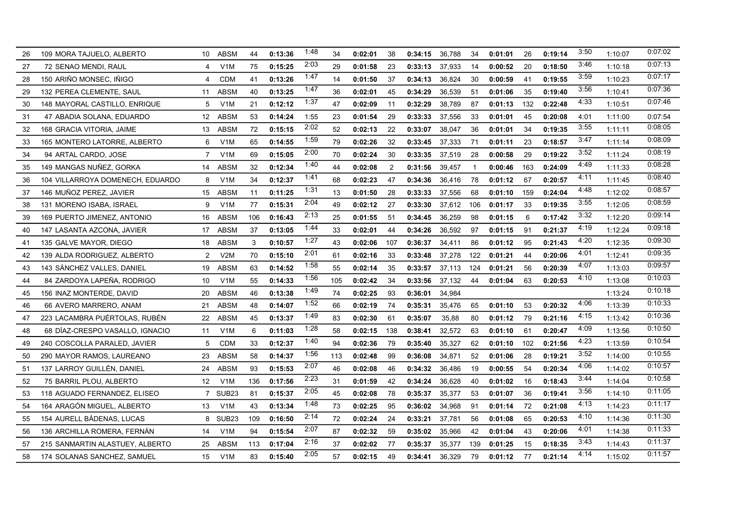| 26 | 109 MORA TAJUELO, ALBERTO        | 10             | <b>ABSM</b>       | 44  | 0:13:36 | 1:48 | 34  | 0:02:01 | 38  | 0:34:15 | 36,788 | 34  | 0:01:01 | 26  | 0:19:14 | 3:50 | 1:10:07 | 0.07:02 |
|----|----------------------------------|----------------|-------------------|-----|---------|------|-----|---------|-----|---------|--------|-----|---------|-----|---------|------|---------|---------|
| 27 | 72 SENAO MENDI, RAUL             | 4              | V1M               | 75  | 0:15:25 | 2:03 | 29  | 0:01:58 | 23  | 0:33:13 | 37,933 | 14  | 0:00:52 | 20  | 0:18:50 | 3:46 | 1:10:18 | 0:07:13 |
| 28 | 150 ARIÑO MONSEC, IÑIGO          | $\overline{4}$ | <b>CDM</b>        | 41  | 0:13:26 | 1:47 | 14  | 0:01:50 | 37  | 0:34:13 | 36,824 | 30  | 0:00:59 | 41  | 0:19:55 | 3:59 | 1:10:23 | 0.07:17 |
| 29 | 132 PEREA CLEMENTE, SAUL         | 11             | <b>ABSM</b>       | 40  | 0:13:25 | 1:47 | 36  | 0:02:01 | 45  | 0:34:29 | 36,539 | 51  | 0:01:06 | 35  | 0:19:40 | 3:56 | 1:10:41 | 0:07:36 |
| 30 | 148 MAYORAL CASTILLO, ENRIQUE    | 5              | V <sub>1</sub> M  | 21  | 0:12:12 | 1:37 | 47  | 0:02:09 | 11  | 0:32:29 | 38,789 | 87  | 0:01:13 | 132 | 0:22:48 | 4:33 | 1:10:51 | 0.07:46 |
| 31 | 47 ABADIA SOLANA, EDUARDO        | 12             | <b>ABSM</b>       | 53  | 0:14:24 | 1:55 | 23  | 0:01:54 | 29  | 0:33:33 | 37,556 | 33  | 0:01:01 | 45  | 0:20:08 | 4:01 | 1:11:00 | 0:07:54 |
| 32 | 168 GRACIA VITORIA, JAIME        | 13             | <b>ABSM</b>       | 72  | 0:15:15 | 2:02 | 52  | 0:02:13 | 22  | 0:33:07 | 38,047 | 36  | 0:01:01 | 34  | 0:19:35 | 3.55 | 1:11:11 | 0.08:05 |
| 33 | 165 MONTERO LATORRE, ALBERTO     | 6              | V <sub>1</sub> M  | 65  | 0:14:55 | 1:59 | 79  | 0:02:26 | 32  | 0:33:45 | 37,333 | -71 | 0:01:11 | 23  | 0:18:57 | 3:47 | 1:11:14 | 0.08:09 |
| 34 | 94 ARTAL CARDO, JOSE             | $\overline{7}$ | V1M               | 69  | 0:15:05 | 2:00 | 70  | 0:02:24 | 30  | 0:33:35 | 37,519 | 28  | 0:00:58 | 29  | 0:19:22 | 3:52 | 1:11:24 | 0.08:19 |
| 35 | 149 MANGAS NUÑEZ, GORKA          | 14             | <b>ABSM</b>       | 32  | 0:12:34 | 1:40 | 44  | 0:02:08 | 2   | 0:31:56 | 39,457 | -1  | 0:00:46 | 163 | 0:24:09 | 4:49 | 1:11:33 | 0.08:28 |
| 36 | 104 VILLARROYA DOMENECH, EDUARDO | 8              | V1M               | 34  | 0:12:37 | 1:41 | 68  | 0:02:23 | 47  | 0:34:36 | 36,416 | 78  | 0:01:12 | 67  | 0:20:57 | 4:11 | 1:11:45 | 0.08:40 |
| 37 | 146 MUÑOZ PEREZ, JAVIER          | 15             | <b>ABSM</b>       | 11  | 0:11:25 | 1:31 | 13  | 0:01:50 | 28  | 0:33:33 | 37,556 | 68  | 0:01:10 | 159 | 0:24:04 | 4:48 | 1:12:02 | 0.08:57 |
| 38 | 131 MORENO ISABA, ISRAEL         | 9              | V <sub>1</sub> M  | 77  | 0:15:31 | 2:04 | 49  | 0:02:12 | 27  | 0:33:30 | 37,612 | 106 | 0:01:17 | 33  | 0:19:35 | 3:55 | 1:12:05 | 0:08:59 |
| 39 | 169 PUERTO JIMENEZ, ANTONIO      | 16             | ABSM              | 106 | 0:16:43 | 2:13 | 25  | 0:01:55 | -51 | 0:34:45 | 36,259 | 98  | 0:01:15 | 6   | 0:17:42 | 3:32 | 1:12:20 | 0:09:14 |
| 40 | 147 LASANTA AZCONA, JAVIER       | 17             | <b>ABSM</b>       | 37  | 0:13:05 | 1:44 | 33  | 0:02:01 | 44  | 0:34:26 | 36,592 | 97  | 0:01:15 | 91  | 0:21:37 | 4:19 | 1:12:24 | 0:09:18 |
| 41 | 135 GALVE MAYOR, DIEGO           | 18             | <b>ABSM</b>       | 3   | 0:10:57 | 1:27 | 43  | 0:02:06 | 107 | 0:36:37 | 34,411 | 86  | 0:01:12 | 95  | 0:21:43 | 4:20 | 1:12:35 | 0.09.30 |
| 42 | 139 ALDA RODRIGUEZ, ALBERTO      | 2              | V2M               | 70  | 0:15:10 | 2:01 | 61  | 0:02:16 | 33  | 0:33:48 | 37,278 | 122 | 0:01:21 | 44  | 0:20:06 | 4:01 | 1:12:41 | 0.09:35 |
| 43 | 143 SANCHEZ VALLES, DANIEL       | 19             | <b>ABSM</b>       | 63  | 0:14:52 | 1:58 | 55  | 0:02:14 | 35  | 0:33:57 | 37,113 | 124 | 0:01:21 | 56  | 0:20:39 | 4:07 | 1:13:03 | 0.09.57 |
| 44 | 84 ZARDOYA LAPEÑA, RODRIGO       | 10             | V <sub>1</sub> M  | 55  | 0:14:33 | 1:56 | 105 | 0:02:42 | 34  | 0:33:56 | 37,132 | 44  | 0:01:04 | 63  | 0:20:53 | 4:10 | 1:13:08 | 0:10:03 |
| 45 | 156 INAZ MONTERDE, DAVID         | 20             | ABSM              | 46  | 0:13:38 | 1:49 | 74  | 0:02:25 | 93  | 0:36:01 | 34,984 |     |         |     |         |      | 1:13:24 | 0.10:18 |
| 46 | 66 AVERO MARRERO, ANAM           | 21             | <b>ABSM</b>       | 48  | 0:14:07 | 1:52 | 66  | 0:02:19 | 74  | 0:35:31 | 35,476 | 65  | 0:01:10 | 53  | 0:20:32 | 4:06 | 1:13:39 | 0:10:33 |
| 47 | 223 LACAMBRA PUÉRTOLAS, RUBÉN    | 22             | ABSM              | 45  | 0:13:37 | 1:49 | 83  | 0:02:30 | 61  | 0:35:07 | 35,88  | 80  | 0:01:12 | 79  | 0:21:16 | 4:15 | 1:13:42 | 0.10.36 |
| 48 | 68 DIAZ-CRESPO VASALLO, IGNACIO  | 11             | V <sub>1</sub> M  | 6   | 0:11:03 | 1:28 | 58  | 0:02:15 | 138 | 0:38:41 | 32,572 | 63  | 0:01:10 | 61  | 0:20:47 | 4:09 | 1:13:56 | 0:10:50 |
| 49 | 240 COSCOLLA PARALED, JAVIER     | -5             | <b>CDM</b>        | 33  | 0:12:37 | 1:40 | 94  | 0:02:36 | 79  | 0:35:40 | 35,327 | 62  | 0:01:10 | 102 | 0:21:56 | 4:23 | 1:13:59 | 0:10:54 |
| 50 | 290 MAYOR RAMOS, LAUREANO        | 23             | <b>ABSM</b>       | 58  | 0:14:37 | 1:56 | 113 | 0:02:48 | 99  | 0:36:08 | 34,871 | 52  | 0:01:06 | 28  | 0:19:21 | 3:52 | 1:14:00 | 0:10:55 |
| 51 | 137 LARROY GUILLÉN, DANIEL       | 24             | <b>ABSM</b>       | 93  | 0:15:53 | 2:07 | 46  | 0:02:08 | 46  | 0:34:32 | 36,486 | 19  | 0:00:55 | 54  | 0:20:34 | 4:06 | 1:14:02 | 0:10:57 |
| 52 | 75 BARRIL PLOU, ALBERTO          | 12             | V <sub>1</sub> M  | 136 | 0:17:56 | 2:23 | 31  | 0:01:59 | 42  | 0:34:24 | 36,628 | 40  | 0:01:02 | 16  | 0:18:43 | 3:44 | 1:14:04 | 0:10:58 |
| 53 | 118 AGUADO FERNANDEZ. ELISEO     | $\overline{7}$ | SUB <sub>23</sub> | 81  | 0:15:37 | 2:05 | 45  | 0:02:08 | 78  | 0:35:37 | 35,377 | 53  | 0:01:07 | 36  | 0:19:41 | 3:56 | 1:14:10 | 0:11:05 |
| 54 | 164 ARAGON MIGUEL, ALBERTO       | 13             | V <sub>1</sub> M  | 43  | 0:13:34 | 1:48 | 73  | 0:02:25 | 95  | 0:36:02 | 34,968 | 91  | 0:01:14 | 72  | 0:21:08 | 4:13 | 1:14:23 | 0:11:17 |
| 55 | 154 AURELL BÁDENAS, LUCAS        | 8              | SUB <sub>23</sub> | 109 | 0:16:50 | 2:14 | 72  | 0:02:24 | 24  | 0:33:21 | 37,781 | 56  | 0:01:08 | 65  | 0:20:53 | 4:10 | 1:14:36 | 0:11:30 |
| 56 | 136 ARCHILLA ROMERA, FERNAN      | 14             | V <sub>1</sub> M  | 94  | 0:15:54 | 2:07 | 87  | 0:02:32 | 59  | 0:35:02 | 35,966 | 42  | 0:01:04 | 43  | 0:20:06 | 4:01 | 1:14:38 | 0:11:33 |
| 57 | 215 SANMARTIN ALASTUEY, ALBERTO  | 25             | <b>ABSM</b>       | 113 | 0:17:04 | 2:16 | 37  | 0:02:02 | 77  | 0:35:37 | 35,377 | 139 | 0:01:25 | 15  | 0:18:35 | 3:43 | 1:14:43 | 0:11:37 |
| 58 | 174 SOLANAS SANCHEZ, SAMUEL      | 15             | V1M               | 83  | 0:15:40 | 2:05 | 57  | 0:02:15 | 49  | 0:34:41 | 36,329 | 79  | 0:01:12 | 77  | 0:21:14 | 4:14 | 1:15:02 | 0:11:57 |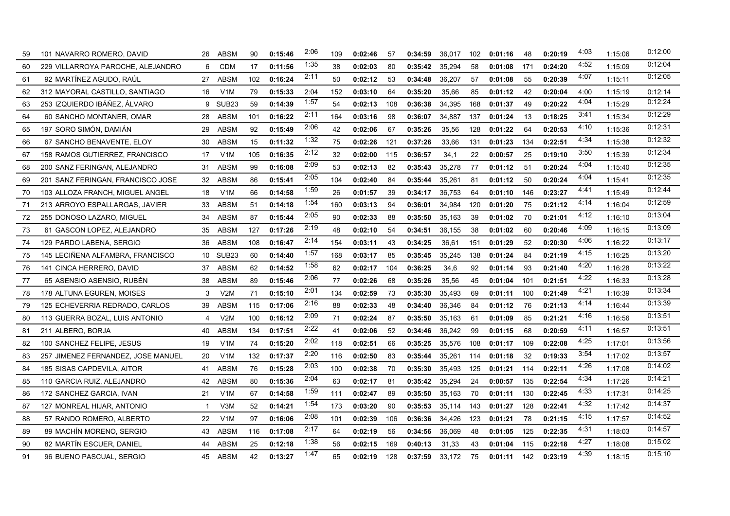| 59 | 101 NAVARRO ROMERO, DAVID          | 26 | <b>ABSM</b>       | 90  | 0:15:46 | 2:06 | 109 | 0:02:46 | 57  | 0:34:59 | 36,017 | 102 | 0:01:16 | 48  | 0:20:19 | 4:03 | 1:15:06 | 0:12:00 |
|----|------------------------------------|----|-------------------|-----|---------|------|-----|---------|-----|---------|--------|-----|---------|-----|---------|------|---------|---------|
| 60 | 229 VILLARROYA PAROCHE, ALEJANDRO  | 6  | <b>CDM</b>        | 17  | 0:11:56 | 1:35 | 38  | 0:02:03 | 80  | 0:35:42 | 35,294 | 58  | 0:01:08 | 171 | 0:24:20 | 4:52 | 1:15:09 | 0:12:04 |
| 61 | 92 MARTINEZ AGUDO, RAUL            | 27 | <b>ABSM</b>       | 102 | 0:16:24 | 2:11 | 50  | 0:02:12 | 53  | 0:34:48 | 36,207 | 57  | 0:01:08 | 55  | 0:20:39 | 4:07 | 1:15:11 | 0:12:05 |
| 62 | 312 MAYORAL CASTILLO, SANTIAGO     | 16 | V <sub>1</sub> M  | 79  | 0:15:33 | 2:04 | 152 | 0:03:10 | 64  | 0:35:20 | 35,66  | 85  | 0:01:12 | 42  | 0:20:04 | 4:00 | 1:15:19 | 0:12:14 |
| 63 | 253 IZQUIERDO IBÁÑEZ, ÁLVARO       | 9  | SUB <sub>23</sub> | 59  | 0:14:39 | 1:57 | 54  | 0:02:13 | 108 | 0:36:38 | 34,395 | 168 | 0:01:37 | 49  | 0:20:22 | 4:04 | 1:15:29 | 0:12:24 |
| 64 | 60 SANCHO MONTANER, OMAR           | 28 | <b>ABSM</b>       | 101 | 0:16:22 | 2:11 | 164 | 0:03:16 | 98  | 0:36:07 | 34,887 | 137 | 0:01:24 | -13 | 0:18:25 | 3:41 | 1:15:34 | 0:12:29 |
| 65 | 197 SORO SIMÓN. DAMIÁN             | 29 | <b>ABSM</b>       | 92  | 0:15:49 | 2:06 | 42  | 0:02:06 | 67  | 0:35:26 | 35,56  | 128 | 0:01:22 | 64  | 0:20:53 | 4:10 | 1:15:36 | 0:12:31 |
| 66 | 67 SANCHO BENAVENTE, ELOY          | 30 | <b>ABSM</b>       | 15  | 0:11:32 | 1:32 | 75  | 0:02:26 | 121 | 0:37:26 | 33,66  | 131 | 0:01:23 | 134 | 0:22:51 | 4:34 | 1:15:38 | 0:12:32 |
| 67 | 158 RAMOS GUTIERREZ, FRANCISCO     | 17 | V1M               | 105 | 0:16:35 | 2:12 | 32  | 0:02:00 | 115 | 0:36:57 | 34,1   | 22  | 0:00:57 | 25  | 0:19:10 | 3:50 | 1:15:39 | 0:12:34 |
| 68 | 200 SANZ FERINGAN, ALEJANDRO       | 31 | <b>ABSM</b>       | 99  | 0:16:08 | 2:09 | 53  | 0:02:13 | 82  | 0:35:43 | 35,278 | -77 | 0:01:12 | 51  | 0:20:24 | 4:04 | 1:15:40 | 0:12:35 |
| 69 | 201 SANZ FERINGAN, FRANCISCO JOSE  | 32 | <b>ABSM</b>       | 86  | 0:15:41 | 2:05 | 104 | 0:02:40 | 84  | 0:35:44 | 35,261 | 81  | 0:01:12 | 50  | 0:20:24 | 4:04 | 1:15:41 | 0:12:35 |
| 70 | 103 ALLOZA FRANCH, MIGUEL ANGEL    | 18 | V <sub>1</sub> M  | 66  | 0:14:58 | 1:59 | 26  | 0:01:57 | 39  | 0:34:17 | 36,753 | 64  | 0:01:10 | 146 | 0:23:27 | 4:41 | 1:15:49 | 0:12:44 |
| 71 | 213 ARROYO ESPALLARGAS, JAVIER     | 33 | <b>ABSM</b>       | 51  | 0:14:18 | 1:54 | 160 | 0:03:13 | 94  | 0:36:01 | 34,984 | 120 | 0:01:20 | 75  | 0:21:12 | 4:14 | 1:16:04 | 0:12:59 |
| 72 | 255 DONOSO LAZARO, MIGUEL          | 34 | <b>ABSM</b>       | 87  | 0:15:44 | 2:05 | 90  | 0:02:33 | 88  | 0:35:50 | 35,163 | 39  | 0:01:02 | 70  | 0:21:01 | 4:12 | 1:16:10 | 0:13:04 |
| 73 | 61 GASCON LOPEZ, ALEJANDRO         | 35 | ABSM              | 127 | 0:17:26 | 2:19 | 48  | 0:02:10 | 54  | 0:34:51 | 36,155 | 38  | 0:01:02 | 60  | 0:20:46 | 4:09 | 1:16:15 | 0:13:09 |
| 74 | 129 PARDO LABENA, SERGIO           | 36 | <b>ABSM</b>       | 108 | 0:16:47 | 2:14 | 154 | 0:03:11 | 43  | 0:34:25 | 36,61  | 151 | 0:01:29 | 52  | 0:20:30 | 4:06 | 1:16:22 | 0:13:17 |
| 75 | 145 LECIÑENA ALFAMBRA, FRANCISCO   |    | 10 SUB23          | 60  | 0:14:40 | 1:57 | 168 | 0:03:17 | 85  | 0:35:45 | 35,245 | 138 | 0:01:24 | 84  | 0:21:19 | 4:15 | 1:16:25 | 0:13:20 |
| 76 | 141 CINCA HERRERO, DAVID           | 37 | <b>ABSM</b>       | 62  | 0:14:52 | 1:58 | 62  | 0:02:17 | 104 | 0:36:25 | 34,6   | 92  | 0:01:14 | 93  | 0:21:40 | 4:20 | 1:16:28 | 0:13:22 |
| 77 | 65 ASENSIO ASENSIO, RUBÉN          | 38 | <b>ABSM</b>       | 89  | 0:15:46 | 2:06 | 77  | 0:02:26 | 68  | 0:35:26 | 35,56  | 45  | 0:01:04 | 101 | 0:21:51 | 4:22 | 1:16:33 | 0:13:28 |
| 78 | 178 ALTUNA EGUREN, MOISES          | 3  | V2M               | 71  | 0:15:10 | 2:01 | 134 | 0:02:59 | 73  | 0:35:30 | 35,493 | 69  | 0:01:11 | 100 | 0:21:49 | 4:21 | 1:16:39 | 0:13:34 |
| 79 | 125 ECHEVERRIA REDRADO, CARLOS     | 39 | <b>ABSM</b>       | 115 | 0:17:06 | 2:16 | 88  | 0:02:33 | 48  | 0:34:40 | 36,346 | 84  | 0:01:12 | 76  | 0:21:13 | 4:14 | 1:16:44 | 0:13:39 |
| 80 | 113 GUERRA BOZAL, LUIS ANTONIO     | 4  | V2M               | 100 | 0:16:12 | 2:09 | 71  | 0:02:24 | 87  | 0:35:50 | 35,163 | -61 | 0:01:09 | 85  | 0:21:21 | 4:16 | 1:16:56 | 0:13:51 |
| 81 | 211 ALBERO, BORJA                  | 40 | <b>ABSM</b>       | 134 | 0:17:51 | 2:22 | 41  | 0:02:06 | 52  | 0:34:46 | 36,242 | 99  | 0:01:15 | 68  | 0:20:59 | 4:11 | 1:16:57 | 0:13:51 |
| 82 | 100 SANCHEZ FELIPE, JESUS          | 19 | V1M               | 74  | 0:15:20 | 2:02 | 118 | 0:02:51 | 66  | 0:35:25 | 35,576 | 108 | 0:01:17 | 109 | 0:22:08 | 4:25 | 1:17:01 | 0:13:56 |
| 83 | 257 JIMENEZ FERNANDEZ, JOSE MANUEL | 20 | V1M               | 132 | 0:17:37 | 2:20 | 116 | 0:02:50 | 83  | 0:35:44 | 35,261 | 114 | 0:01:18 | 32  | 0:19:33 | 3:54 | 1:17:02 | 0:13:57 |
| 84 | 185 SISAS CAPDEVILA, AITOR         | 41 | <b>ABSM</b>       | 76  | 0:15:28 | 2:03 | 100 | 0:02:38 | 70  | 0:35:30 | 35,493 | 125 | 0:01:21 | 114 | 0:22:11 | 4:26 | 1:17:08 | 0:14:02 |
| 85 | 110 GARCIA RUIZ, ALEJANDRO         | 42 | <b>ABSM</b>       | 80  | 0:15:36 | 2:04 | 63  | 0:02:17 | 81  | 0:35:42 | 35,294 | 24  | 0:00:57 | 135 | 0:22:54 | 4:34 | 1:17:26 | 0:14:21 |
| 86 | 172 SANCHEZ GARCIA, IVAN           | 21 | V1M               | 67  | 0:14:58 | 1:59 | 111 | 0:02:47 | 89  | 0:35:50 | 35,163 | 70  | 0:01:11 | 130 | 0:22:45 | 4:33 | 1:17.31 | 0:14:25 |
| 87 | 127 MONREAL HIJAR, ANTONIO         |    | V3M               | 52  | 0:14:21 | 1:54 | 173 | 0:03:20 | 90  | 0:35:53 | 35,114 | 143 | 0:01:27 | 128 | 0:22:41 | 4:32 | 1:17:42 | 0:14:37 |
| 88 | 57 RANDO ROMERO, ALBERTO           | 22 | V <sub>1</sub> M  | 97  | 0:16:06 | 2:08 | 101 | 0:02:39 | 106 | 0:36:36 | 34,426 | 123 | 0:01:21 | 78  | 0:21:15 | 4:15 | 1:17:57 | 0:14:52 |
| 89 | 89 MACHIN MORENO, SERGIO           | 43 | ABSM              | 116 | 0:17:08 | 2:17 | 64  | 0:02:19 | 56  | 0:34:56 | 36,069 | 48  | 0:01:05 | 125 | 0:22:35 | 4:31 | 1:18:03 | 0:14:57 |
| 90 | 82 MARTÍN ESCUER, DANIEL           | 44 | <b>ABSM</b>       | 25  | 0:12:18 | 1:38 | 56  | 0:02:15 | 169 | 0:40:13 | 31,33  | 43  | 0:01:04 | 115 | 0:22:18 | 4:27 | 1:18:08 | 0:15:02 |
| 91 | 96 BUENO PASCUAL, SERGIO           | 45 | <b>ABSM</b>       | 42  | 0:13:27 | 1:47 | 65  | 0:02:19 | 128 | 0:37:59 | 33.172 | 75  | 0:01:11 | 142 | 0:23:19 | 4:39 | 1:18:15 | 0:15:10 |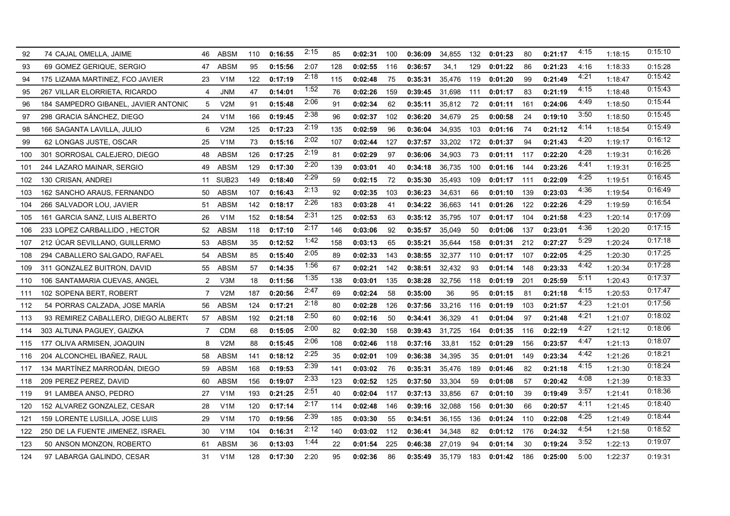| 92  | 74 CAJAL OMELLA, JAIME               | 46             | <b>ABSM</b>       | 110 | 0:16:55 | 2:15 | 85  | 0:02:31 | 100 | 0:36:09 | 34,855 | 132 | 0:01:23 | 80  | 0:21:17 | 4:15 | 1:18:15 | 0:15:10 |
|-----|--------------------------------------|----------------|-------------------|-----|---------|------|-----|---------|-----|---------|--------|-----|---------|-----|---------|------|---------|---------|
| 93  | 69 GOMEZ GERIQUE, SERGIO             | 47             | ABSM              | 95  | 0:15:56 | 2:07 | 128 | 0:02:55 | 116 | 0:36:57 | 34,1   | 129 | 0:01:22 | 86  | 0:21:23 | 4:16 | 1:18:33 | 0:15:28 |
| 94  | 175 LIZAMA MARTINEZ. FCO JAVIER      | 23             | V <sub>1</sub> M  | 122 | 0:17:19 | 2:18 | 115 | 0:02:48 | 75  | 0:35:31 | 35,476 | 119 | 0:01:20 | 99  | 0:21:49 | 4:21 | 1:18:47 | 0:15:42 |
| 95  | 267 VILLAR ELORRIETA, RICARDO        | 4              | <b>JNM</b>        | 47  | 0:14:01 | 1:52 | 76  | 0:02:26 | 159 | 0:39:45 | 31,698 | 111 | 0:01:17 | 83  | 0:21:19 | 4:15 | 1:18:48 | 0:15:43 |
| 96  | 184 SAMPEDRO GIBANEL, JAVIER ANTONIC | 5              | V2M               | 91  | 0:15:48 | 2:06 | 91  | 0:02:34 | 62  | 0:35:11 | 35,812 | 72  | 0:01:11 | 161 | 0:24:06 | 4:49 | 1:18:50 | 0:15:44 |
| 97  | 298 GRACIA SÁNCHEZ, DIEGO            | 24             | V1M               | 166 | 0:19:45 | 2:38 | 96  | 0:02:37 | 102 | 0:36:20 | 34,679 | 25  | 0:00:58 | 24  | 0:19:10 | 3:50 | 1:18:50 | 0:15:45 |
| 98  | 166 SAGANTA LAVILLA, JULIO           | 6              | V2M               | 125 | 0:17:23 | 2:19 | 135 | 0:02:59 | 96  | 0:36:04 | 34,935 | 103 | 0:01:16 | 74  | 0:21:12 | 4:14 | 1:18:54 | 0:15:49 |
| 99  | 62 LONGAS JUSTE, OSCAR               | 25             | V <sub>1</sub> M  | 73  | 0:15:16 | 2:02 | 107 | 0:02:44 | 127 | 0:37:57 | 33,202 | 172 | 0:01:37 | 94  | 0:21:43 | 4:20 | 1:19:17 | 0:16:12 |
| 100 | 301 SORROSAL CALEJERO, DIEGO         | 48             | <b>ABSM</b>       | 126 | 0:17:25 | 2:19 | 81  | 0:02:29 | 97  | 0:36:06 | 34,903 | 73  | 0:01:11 | 117 | 0:22:20 | 4:28 | 1:19:31 | 0:16:26 |
| 101 | 244 LAZARO MAINAR, SERGIO            | 49             | ABSM              | 129 | 0:17:30 | 2:20 | 139 | 0:03:01 | 40  | 0:34:18 | 36,735 | 100 | 0:01:16 | 144 | 0:23:26 | 4:41 | 1:19:31 | 0:16:25 |
| 102 | 130 CRISAN, ANDREI                   | 11             | SUB <sub>23</sub> | 149 | 0:18:40 | 2:29 | 59  | 0:02:15 | 72  | 0:35:30 | 35,493 | 109 | 0:01:17 | 111 | 0:22:09 | 4:25 | 1:19:51 | 0:16:45 |
| 103 | 162 SANCHO ARAUS, FERNANDO           | 50             | <b>ABSM</b>       | 107 | 0:16:43 | 2:13 | 92  | 0:02:35 | 103 | 0:36:23 | 34,631 | 66  | 0:01:10 | 139 | 0:23:03 | 4:36 | 1:19:54 | 0:16:49 |
| 104 | 266 SALVADOR LOU, JAVIER             | 51             | ABSM              | 142 | 0:18:17 | 2:26 | 183 | 0:03:28 | 41  | 0:34:22 | 36,663 | 141 | 0:01:26 | 122 | 0:22:26 | 4:29 | 1:19:59 | 0:16:54 |
| 105 | 161 GARCIA SANZ, LUIS ALBERTO        | 26             | V1M               | 152 | 0:18:54 | 2:31 | 125 | 0:02:53 | 63  | 0:35:12 | 35,795 | 107 | 0:01:17 | 104 | 0:21:58 | 4:23 | 1:20:14 | 0:17:09 |
| 106 | 233 LOPEZ CARBALLIDO, HECTOR         | 52             | <b>ABSM</b>       | 118 | 0:17:10 | 2:17 | 146 | 0:03:06 | 92  | 0:35:57 | 35,049 | 50  | 0:01:06 | 137 | 0:23:01 | 4:36 | 1:20:20 | 0:17:15 |
| 107 | 212 UCAR SEVILLANO, GUILLERMO        | 53.            | ABSM              | 35  | 0:12:52 | 1:42 | 158 | 0:03:13 | 65  | 0:35:21 | 35,644 | 158 | 0:01:31 | 212 | 0:27:27 | 5:29 | 1:20:24 | 0:17:18 |
| 108 | 294 CABALLERO SALGADO, RAFAEL        | 54             | <b>ABSM</b>       | 85  | 0:15:40 | 2:05 | 89  | 0:02:33 | 143 | 0:38:55 | 32,377 | 110 | 0:01:17 | 107 | 0:22:05 | 4:25 | 1:20:30 | 0:17:25 |
| 109 | 311 GONZALEZ BUITRON, DAVID          | 55             | ABSM              | 57  | 0:14:35 | 1:56 | 67  | 0:02:21 | 142 | 0:38:51 | 32,432 | 93  | 0:01:14 | 148 | 0:23:33 | 4:42 | 1:20:34 | 0:17:28 |
| 110 | 106 SANTAMARIA CUEVAS, ANGEL         | $\overline{2}$ | V3M               | 18  | 0:11:56 | 1:35 | 138 | 0:03:01 | 135 | 0:38:28 | 32,756 | 118 | 0:01:19 | 201 | 0:25:59 | 5:11 | 1:20:43 | 0:17:37 |
| 111 | 102 SOPENA BERT, ROBERT              | $\overline{7}$ | V2M               | 187 | 0:20:56 | 2:47 | 69  | 0:02:24 | 58  | 0:35:00 | 36     | 95  | 0:01:15 | 81  | 0:21:18 | 4:15 | 1:20:53 | 0:17:47 |
| 112 | 54 PORRAS CALZADA, JOSE MARÍA        | 56             | <b>ABSM</b>       | 124 | 0:17:21 | 2:18 | 80  | 0:02:28 | 126 | 0:37:56 | 33,216 | 116 | 0:01:19 | 103 | 0:21:57 | 4:23 | 1:21:01 | 0:17:56 |
| 113 | 93 REMIREZ CABALLERO, DIEGO ALBERTO  | 57             | <b>ABSM</b>       | 192 | 0:21:18 | 2:50 | 60  | 0:02:16 | 50  | 0:34:41 | 36,329 | 41  | 0:01:04 | 97  | 0:21:48 | 4:21 | 1:21:07 | 0:18:02 |
| 114 | 303 ALTUNA PAGUEY, GAIZKA            | 7              | <b>CDM</b>        | 68  | 0:15:05 | 2:00 | 82  | 0:02:30 | 158 | 0:39:43 | 31,725 | 164 | 0:01:35 | 116 | 0:22:19 | 4:27 | 1:21:12 | 0:18:06 |
| 115 | 177 OLIVA ARMISEN, JOAQUIN           | 8              | V2M               | 88  | 0:15:45 | 2:06 | 108 | 0:02:46 | 118 | 0:37:16 | 33,81  | 152 | 0:01:29 | 156 | 0:23:57 | 4:47 | 1:21:13 | 0:18:07 |
| 116 | 204 ALCONCHEL IBAÑEZ, RAUL           | 58             | <b>ABSM</b>       | 141 | 0:18:12 | 2:25 | 35  | 0:02:01 | 109 | 0:36:38 | 34,395 | 35  | 0:01:01 | 149 | 0:23:34 | 4:42 | 1:21:26 | 0:18:21 |
| 117 | 134 MARTINEZ MARRODAN, DIEGO         | 59             | <b>ABSM</b>       | 168 | 0:19:53 | 2:39 | 141 | 0:03:02 | 76  | 0:35:31 | 35,476 | 189 | 0:01:46 | 82  | 0:21:18 | 4:15 | 1:21:30 | 0:18:24 |
| 118 | 209 PEREZ PEREZ, DAVID               | 60             | <b>ABSM</b>       | 156 | 0:19:07 | 2:33 | 123 | 0:02:52 | 125 | 0:37:50 | 33,304 | 59  | 0:01:08 | 57  | 0:20:42 | 4:08 | 1:21:39 | 0:18:33 |
| 119 | 91 LAMBEA ANSO, PEDRO                | 27             | V1M               | 193 | 0:21:25 | 2:51 | 40  | 0:02:04 | 117 | 0:37:13 | 33,856 | 67  | 0:01:10 | 39  | 0:19:49 | 3:57 | 1:21:41 | 0:18:36 |
| 120 | 152 ALVAREZ GONZALEZ, CESAR          | 28             | V <sub>1</sub> M  | 120 | 0:17:14 | 2:17 | 114 | 0:02:48 | 146 | 0:39:16 | 32,088 | 156 | 0:01:30 | 66  | 0:20:57 | 4:11 | 1:21:45 | 0:18:40 |
| 121 | 159 LORENTE LUSILLA, JOSE LUIS       | 29             | V1M               | 170 | 0:19:56 | 2:39 | 185 | 0:03:30 | 55  | 0:34:51 | 36,155 | 136 | 0:01:24 | 110 | 0:22:08 | 4:25 | 1:21:49 | 0:18:44 |
| 122 | 250 DE LA FUENTE JIMENEZ, ISRAEL     | 30             | V1M               | 104 | 0:16:31 | 2:12 | 140 | 0:03:02 | 112 | 0:36:41 | 34,348 | 82  | 0:01:12 | 176 | 0:24:32 | 4:54 | 1:21:58 | 0:18:52 |
| 123 | 50 ANSON MONZON, ROBERTO             | 61             | ABSM              | 36  | 0:13:03 | 1:44 | 22  | 0:01:54 | 225 | 0:46:38 | 27,019 | 94  | 0:01:14 | 30  | 0:19:24 | 3:52 | 1:22:13 | 0:19:07 |
| 124 | 97 LABARGA GALINDO, CESAR            | 31             | V1M               | 128 | 0:17:30 | 2:20 | 95  | 0:02:36 | 86  | 0:35:49 | 35,179 | 183 | 0:01:42 | 186 | 0:25:00 | 5:00 | 1:22:37 | 0:19:31 |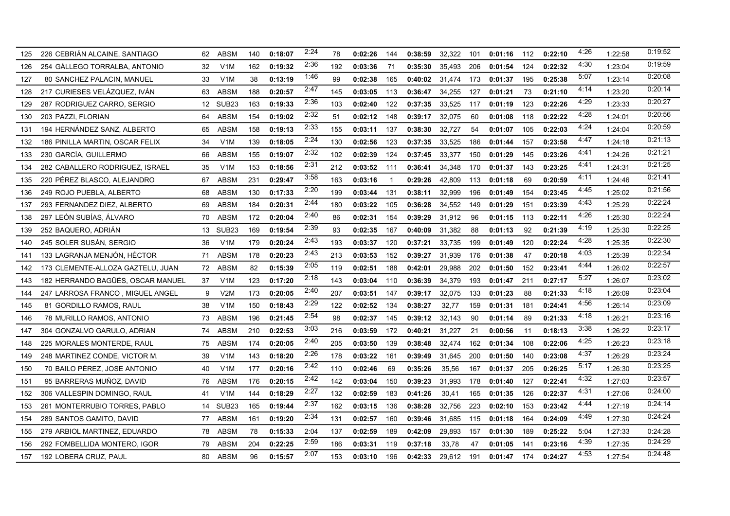| 125 | 226 CEBRIÁN ALCAINE, SANTIAGO     | 62 | <b>ABSM</b>       | 140 | 0:18:07 | 2:24 | 78  | 0:02:26 | 144 | 0:38:59 | 32,322 | 101 | 0:01:16 | 112 | 0:22:10 | 4:26 | 1:22:58 | 0.19.52 |
|-----|-----------------------------------|----|-------------------|-----|---------|------|-----|---------|-----|---------|--------|-----|---------|-----|---------|------|---------|---------|
| 126 | 254 GALLEGO TORRALBA, ANTONIO     | 32 | V <sub>1</sub> M  | 162 | 0:19:32 | 2:36 | 192 | 0:03:36 | 71  | 0:35:30 | 35,493 | 206 | 0:01:54 | 124 | 0:22:32 | 4:30 | 1:23:04 | 0:19:59 |
| 127 | 80 SANCHEZ PALACIN, MANUEL        | 33 | V <sub>1</sub> M  | 38  | 0:13:19 | 1:46 | 99  | 0:02:38 | 165 | 0:40:02 | 31,474 | 173 | 0:01:37 | 195 | 0:25:38 | 5:07 | 1:23:14 | 0:20:08 |
| 128 | 217 CURIESES VELÁZQUEZ, IVÁN      | 63 | <b>ABSM</b>       | 188 | 0:20:57 | 2:47 | 145 | 0:03:05 | 113 | 0:36:47 | 34,255 | 127 | 0:01:21 | 73  | 0:21:10 | 4:14 | 1:23:20 | 0:20:14 |
| 129 | 287 RODRIGUEZ CARRO, SERGIO       | 12 | SUB <sub>23</sub> | 163 | 0:19:33 | 2:36 | 103 | 0:02:40 | 122 | 0:37:35 | 33,525 | 117 | 0:01:19 | 123 | 0:22:26 | 4:29 | 1:23:33 | 0:20:27 |
| 130 | 203 PAZZI, FLORIAN                | 64 | <b>ABSM</b>       | 154 | 0:19:02 | 2:32 | 51  | 0:02:12 | 148 | 0:39:17 | 32,075 | 60  | 0:01:08 | 118 | 0:22:22 | 4:28 | 1:24:01 | 0:20:56 |
| 131 | 194 HERNÁNDEZ SANZ, ALBERTO       | 65 | ABSM              | 158 | 0:19:13 | 2:33 | 155 | 0:03:11 | 137 | 0:38:30 | 32,727 | 54  | 0:01:07 | 105 | 0:22:03 | 4:24 | 1:24:04 | 0:20:59 |
| 132 | 186 PINILLA MARTIN, OSCAR FELIX   | 34 | V <sub>1</sub> M  | 139 | 0:18:05 | 2:24 | 130 | 0:02:56 | 123 | 0:37:35 | 33,525 | 186 | 0:01:44 | 157 | 0:23:58 | 4:47 | 1:24:18 | 0:21:13 |
| 133 | 230 GARCÍA, GUILLERMO             | 66 | <b>ABSM</b>       | 155 | 0:19:07 | 2:32 | 102 | 0:02:39 | 124 | 0:37:45 | 33,377 | 150 | 0:01:29 | 145 | 0:23:26 | 4:41 | 1:24:26 | 0:21:21 |
| 134 | 282 CABALLERO RODRIGUEZ, ISRAEL   | 35 | V <sub>1</sub> M  | 153 | 0:18:56 | 2:31 | 212 | 0:03:52 | 111 | 0:36:41 | 34,348 | 170 | 0:01:37 | 143 | 0:23:25 | 4:41 | 1:24:31 | 0.21:25 |
| 135 | 220 PÉREZ BLASCO, ALEJANDRO       | 67 | <b>ABSM</b>       | 231 | 0:29:47 | 3:58 | 163 | 0:03:16 |     | 0:29:26 | 42,809 | 113 | 0:01:18 | 69  | 0:20:59 | 4:11 | 1:24:46 | 0:21:41 |
| 136 | 249 ROJO PUEBLA, ALBERTO          | 68 | ABSM              | 130 | 0:17:33 | 2:20 | 199 | 0:03:44 | 131 | 0:38:11 | 32,999 | 196 | 0:01:49 | 154 | 0:23:45 | 4:45 | 1:25:02 | 0.21:56 |
| 137 | 293 FERNANDEZ DIEZ, ALBERTO       | 69 | <b>ABSM</b>       | 184 | 0:20:31 | 2:44 | 180 | 0:03:22 | 105 | 0:36:28 | 34,552 | 149 | 0:01:29 | 151 | 0:23:39 | 4:43 | 1:25:29 | 0:22:24 |
| 138 | 297 LEÓN SUBÍAS, ÁLVARO           | 70 | ABSM              | 172 | 0:20:04 | 2:40 | 86  | 0:02:31 | 154 | 0:39:29 | 31,912 | 96  | 0:01:15 | 113 | 0:22:11 | 4:26 | 1:25:30 | 0:22:24 |
| 139 | 252 BAQUERO, ADRIÁN               | 13 | SUB <sub>23</sub> | 169 | 0:19:54 | 2:39 | 93  | 0:02:35 | 167 | 0:40:09 | 31,382 | 88  | 0:01:13 | 92  | 0:21:39 | 4:19 | 1:25:30 | 0:22:25 |
| 140 | 245 SOLER SUSAN, SERGIO           | 36 | V <sub>1</sub> M  | 179 | 0:20:24 | 2:43 | 193 | 0:03:37 | 120 | 0:37:21 | 33,735 | 199 | 0:01:49 | 120 | 0:22:24 | 4:28 | 1:25:35 | 0:22:30 |
| 141 | 133 LAGRANJA MENJÓN. HÉCTOR       | 71 | <b>ABSM</b>       | 178 | 0:20:23 | 2:43 | 213 | 0:03:53 | 152 | 0:39:27 | 31,939 | 176 | 0:01:38 | 47  | 0:20:18 | 4:03 | 1:25:39 | 0:22:34 |
| 142 | 173 CLEMENTE-ALLOZA GAZTELU, JUAN | 72 | <b>ABSM</b>       | 82  | 0:15:39 | 2:05 | 119 | 0:02:51 | 188 | 0:42:01 | 29,988 | 202 | 0:01:50 | 152 | 0:23:41 | 4:44 | 1:26:02 | 0:22:57 |
| 143 | 182 HERRANDO BAGÜÉS. OSCAR MANUEL | 37 | V <sub>1</sub> M  | 123 | 0:17:20 | 2:18 | 143 | 0:03:04 | 110 | 0:36:39 | 34,379 | 193 | 0:01:47 | 211 | 0:27:17 | 5:27 | 1:26:07 | 0:23:02 |
| 144 | 247 LARROSA FRANCO, MIGUEL ANGEL  | 9  | V2M               | 173 | 0:20:05 | 2:40 | 207 | 0:03:51 | 147 | 0:39:17 | 32,075 | 133 | 0:01:23 | 88  | 0:21:33 | 4:18 | 1:26:09 | 0.23:04 |
| 145 | 81 GORDILLO RAMOS, RAUL           | 38 | V <sub>1</sub> M  | 150 | 0:18:43 | 2:29 | 122 | 0:02:52 | 134 | 0:38:27 | 32,77  | 159 | 0:01:31 | 181 | 0:24:41 | 4:56 | 1:26:14 | 0:23:09 |
| 146 | 78 MURILLO RAMOS, ANTONIO         | 73 | <b>ABSM</b>       | 196 | 0:21:45 | 2:54 | 98  | 0:02:37 | 145 | 0:39:12 | 32,143 | 90  | 0:01:14 | 89  | 0:21:33 | 4:18 | 1:26:21 | 0:23:16 |
| 147 | 304 GONZALVO GARULO, ADRIAN       | 74 | <b>ABSM</b>       | 210 | 0:22:53 | 3:03 | 216 | 0:03:59 | 172 | 0:40:21 | 31,227 | 21  | 0:00:56 | 11  | 0:18:13 | 3:38 | 1:26:22 | 0:23:17 |
| 148 | 225 MORALES MONTERDE, RAUL        | 75 | <b>ABSM</b>       | 174 | 0:20:05 | 2:40 | 205 | 0:03:50 | 139 | 0:38:48 | 32,474 | 162 | 0:01:34 | 108 | 0:22:06 | 4:25 | 1:26:23 | 0.23:18 |
| 149 | 248 MARTINEZ CONDE, VICTOR M.     | 39 | V <sub>1</sub> M  | 143 | 0:18:20 | 2:26 | 178 | 0:03:22 | 161 | 0:39:49 | 31,645 | 200 | 0:01:50 | 140 | 0:23:08 | 4:37 | 1:26:29 | 0:23:24 |
| 150 | 70 BAILO PÉREZ, JOSE ANTONIO      | 40 | V <sub>1</sub> M  | 177 | 0:20:16 | 2:42 | 110 | 0:02:46 | 69  | 0:35:26 | 35,56  | 167 | 0:01:37 | 205 | 0:26:25 | 5:17 | 1:26:30 | 0.23:25 |
| 151 | 95 BARRERAS MUÑOZ, DAVID          | 76 | <b>ABSM</b>       | 176 | 0:20:15 | 2:42 | 142 | 0:03:04 | 150 | 0:39:23 | 31,993 | 178 | 0:01:40 | 127 | 0:22:41 | 4:32 | 1:27:03 | 0:23:57 |
| 152 | 306 VALLESPIN DOMINGO, RAUL       | 41 | V1M               | 144 | 0:18:29 | 2:27 | 132 | 0:02:59 | 183 | 0:41:26 | 30,41  | 165 | 0:01:35 | 126 | 0:22:37 | 4:31 | 1:27:06 | 0.24:00 |
| 153 | 261 MONTERRUBIO TORRES, PABLO     | 14 | SUB <sub>23</sub> | 165 | 0:19:44 | 2:37 | 162 | 0:03:15 | 136 | 0:38:28 | 32,756 | 223 | 0:02:10 | 153 | 0:23:42 | 4.44 | 1:27:19 | 0.24.14 |
| 154 | 289 SANTOS GAMITO, DAVID          | 77 | <b>ABSM</b>       | 161 | 0:19:20 | 2:34 | 131 | 0:02:57 | 160 | 0:39:46 | 31,685 | 115 | 0:01:18 | 164 | 0:24:09 | 4:49 | 1:27:30 | 0:24:24 |
| 155 | 279 ARBIOL MARTINEZ, EDUARDO      | 78 | <b>ABSM</b>       | 78  | 0:15:33 | 2:04 | 137 | 0:02:59 | 189 | 0:42:09 | 29,893 | 157 | 0:01:30 | 189 | 0:25:22 | 5:04 | 1:27:33 | 0.24:28 |
| 156 | 292 FOMBELLIDA MONTERO, IGOR      | 79 | <b>ABSM</b>       | 204 | 0:22:25 | 2:59 | 186 | 0:03:31 | 119 | 0:37:18 | 33,78  | 47  | 0:01:05 | 141 | 0:23:16 | 4:39 | 1:27:35 | 0.24.29 |
| 157 | 192 LOBERA CRUZ, PAUL             | 80 | <b>ABSM</b>       | 96  | 0:15:57 | 2:07 | 153 | 0:03:10 | 196 | 0:42:33 | 29,612 | 191 | 0:01:47 | 174 | 0:24:27 | 4:53 | 1:27:54 | 0:24:48 |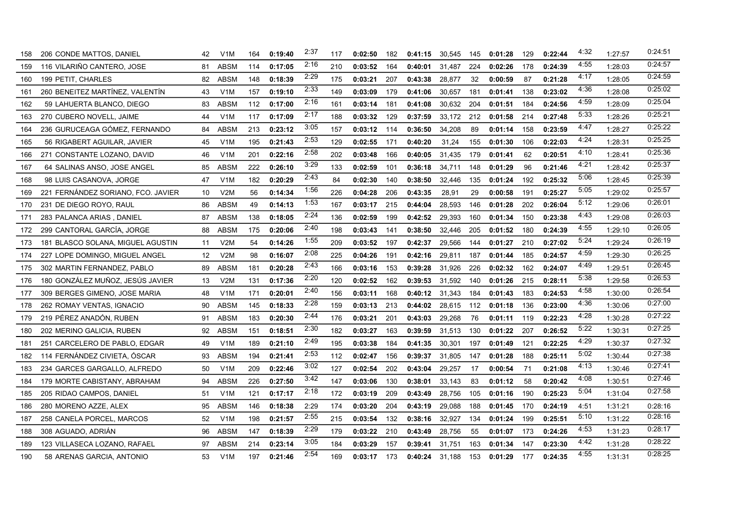| 158 | 206 CONDE MATTOS, DANIEL           | 42  | V1M              | 164 | 0:19:40 | 2:37 | 117 | 0:02:50 | 182 | 0:41:15          | 30,545 | 145 | 0:01:28 | 129 | 0:22:44 | 4:32 | 1:27:57 | 0:24:51 |
|-----|------------------------------------|-----|------------------|-----|---------|------|-----|---------|-----|------------------|--------|-----|---------|-----|---------|------|---------|---------|
| 159 | 116 VILARIÑO CANTERO, JOSE         | 81  | <b>ABSM</b>      | 114 | 0:17:05 | 2:16 | 210 | 0:03:52 | 164 | 0:40:01          | 31,487 | 224 | 0:02:26 | 178 | 0:24:39 | 4:55 | 1:28:03 | 0:24:57 |
| 160 | 199 PETIT, CHARLES                 | 82  | <b>ABSM</b>      | 148 | 0:18:39 | 2:29 | 175 | 0:03:21 | 207 | 0:43:38          | 28,877 | 32  | 0:00:59 | 87  | 0:21:28 | 4:17 | 1:28:05 | 0:24:59 |
| 161 | 260 BENEITEZ MARTINEZ, VALENTIN    | 43  | V <sub>1</sub> M | 157 | 0:19:10 | 2:33 | 149 | 0:03:09 | 179 | 0:41:06          | 30,657 | 181 | 0:01:41 | 138 | 0:23:02 | 4:36 | 1:28:08 | 0:25:02 |
| 162 | 59 LAHUERTA BLANCO, DIEGO          | 83  | ABSM             | 112 | 0:17:00 | 2:16 | 161 | 0:03:14 | 181 | 0:41:08          | 30,632 | 204 | 0:01:51 | 184 | 0:24:56 | 4:59 | 1:28:09 | 0:25:04 |
| 163 | 270 CUBERO NOVELL, JAIME           | 44  | V <sub>1</sub> M | 117 | 0:17:09 | 2:17 | 188 | 0:03:32 | 129 | 0:37:59          | 33,172 | 212 | 0:01:58 | 214 | 0:27:48 | 5:33 | 1:28:26 | 0:25:21 |
| 164 | 236 GURUCEAGA GÓMEZ, FERNANDO      | 84  | <b>ABSM</b>      | 213 | 0:23:12 | 3:05 | 157 | 0:03:12 | 114 | 0:36:50          | 34,208 | 89  | 0:01:14 | 158 | 0:23:59 | 4:47 | 1:28:27 | 0.25.22 |
| 165 | 56 RIGABERT AGUILAR, JAVIER        | 45  | V1M              | 195 | 0:21:43 | 2:53 | 129 | 0:02:55 | 171 | 0:40:20          | 31,24  | 155 | 0:01:30 | 106 | 0:22:03 | 4:24 | 1:28:31 | 0:25:25 |
| 166 | 271 CONSTANTE LOZANO, DAVID        | 46  | V1M              | 201 | 0:22:16 | 2:58 | 202 | 0:03:48 | 166 | 0:40:05          | 31,435 | 179 | 0:01:41 | 62  | 0:20:51 | 4:10 | 1:28:41 | 0:25:36 |
| 167 | 64 SALINAS ANSO, JOSE ANGEL        | 85  | <b>ABSM</b>      | 222 | 0:26:10 | 3:29 | 133 | 0:02:59 | 101 | 0:36:18          | 34,711 | 148 | 0:01:29 | 96  | 0:21:46 | 4:21 | 1:28:42 | 0:25:37 |
| 168 | 98 LUIS CASANOVA, JORGE            | 47  | V <sub>1</sub> M | 182 | 0:20:29 | 2:43 | 84  | 0:02:30 | 140 | 0:38:50          | 32,446 | 135 | 0:01:24 | 192 | 0:25:32 | 5:06 | 1:28:45 | 0:25:39 |
| 169 | 221 FERNANDEZ SORIANO, FCO. JAVIER | 10  | V2M              | 56  | 0:14:34 | 1:56 | 226 | 0:04:28 | 206 | 0:43:35          | 28,91  | 29  | 0:00:58 | 191 | 0:25:27 | 5:05 | 1:29:02 | 0:25:57 |
| 170 | 231 DE DIEGO ROYO, RAUL            | 86  | <b>ABSM</b>      | 49  | 0:14:13 | 1:53 | 167 | 0:03:17 | 215 | 0:44:04          | 28,593 | 146 | 0:01:28 | 202 | 0:26:04 | 5:12 | 1:29:06 | 0:26:01 |
| 171 | 283 PALANCA ARIAS, DANIEL          | 87  | <b>ABSM</b>      | 138 | 0:18:05 | 2:24 | 136 | 0:02:59 | 199 | 0:42:52          | 29,393 | 160 | 0:01:34 | 150 | 0:23:38 | 4:43 | 1:29:08 | 0:26:03 |
| 172 | 299 CANTORAL GARCÍA, JORGE         | 88  | <b>ABSM</b>      | 175 | 0:20:06 | 2:40 | 198 | 0:03:43 | 141 | 0:38:50          | 32,446 | 205 | 0:01:52 | 180 | 0:24:39 | 4:55 | 1:29:10 | 0:26:05 |
| 173 | 181 BLASCO SOLANA, MIGUEL AGUSTIN  | 11  | V2M              | 54  | 0:14:26 | 1:55 | 209 | 0:03:52 | 197 | 0:42:37          | 29,566 | 144 | 0:01:27 | 210 | 0:27:02 | 5:24 | 1:29:24 | 0:26:19 |
| 174 | 227 LOPE DOMINGO, MIGUEL ANGEL     | 12  | V2M              | 98  | 0:16:07 | 2:08 | 225 | 0:04:26 | 191 | 0:42:16          | 29,811 | 187 | 0:01:44 | 185 | 0:24:57 | 4:59 | 1:29:30 | 0:26:25 |
| 175 | 302 MARTIN FERNANDEZ, PABLO        | 89  | ABSM             | 181 | 0:20:28 | 2:43 | 166 | 0:03:16 | 153 | 0:39:28          | 31,926 | 226 | 0:02:32 | 162 | 0:24:07 | 4:49 | 1:29:51 | 0:26:45 |
| 176 | 180 GONZÁLEZ MUÑOZ, JESÚS JAVIER   | 13  | V2M              | 131 | 0:17:36 | 2:20 | 120 | 0:02:52 | 162 | 0:39:53          | 31,592 | 140 | 0:01:26 | 215 | 0:28:11 | 5:38 | 1:29:58 | 0:26:53 |
| 177 | 309 BERGES GIMENO, JOSE MARIA      | 48  | V <sub>1</sub> M | 171 | 0:20:01 | 2:40 | 156 | 0:03:11 | 168 | 0:40:12          | 31,343 | 184 | 0:01:43 | 183 | 0:24:53 | 4:58 | 1:30:00 | 0:26:54 |
| 178 | 262 ROMAY VENTAS, IGNACIO          | 90  | <b>ABSM</b>      | 145 | 0:18:33 | 2:28 | 159 | 0:03:13 | 213 | 0:44:02          | 28,615 | 112 | 0:01:18 | 136 | 0:23:00 | 4:36 | 1:30:06 | 0:27:00 |
| 179 | 219 PÉREZ ANADON. RUBEN            | 91  | <b>ABSM</b>      | 183 | 0:20:30 | 2:44 | 176 | 0:03:21 | 201 | 0:43:03          | 29,268 | 76  | 0:01:11 | 119 | 0:22:23 | 4:28 | 1:30:28 | 0:27:22 |
| 180 | 202 MERINO GALICIA, RUBEN          | 92. | ABSM             | 151 | 0:18:51 | 2:30 | 182 | 0:03:27 | 163 | 0:39:59          | 31,513 | 130 | 0:01:22 | 207 | 0:26:52 | 5:22 | 1:30:31 | 0:27:25 |
| 181 | 251 CARCELERO DE PABLO, EDGAR      | 49  | V <sub>1</sub> M | 189 | 0:21:10 | 2:49 | 195 | 0:03:38 | 184 | 0:41:35          | 30,301 | 197 | 0:01:49 | 121 | 0:22:25 | 4:29 | 1:30:37 | 0:27:32 |
| 182 | 114 FERNÁNDEZ CIVIETA, ÓSCAR       | 93  | <b>ABSM</b>      | 194 | 0:21:41 | 2:53 | 112 | 0:02:47 | 156 | 0:39:37          | 31,805 | 147 | 0:01:28 | 188 | 0:25:11 | 5:02 | 1:30:44 | 0:27:38 |
| 183 | 234 GARCES GARGALLO, ALFREDO       | 50  | V1M              | 209 | 0:22:46 | 3:02 | 127 | 0:02:54 | 202 | 0:43:04          | 29,257 | 17  | 0:00:54 | 71  | 0:21:08 | 4:13 | 1:30:46 | 0.27:41 |
| 184 | 179 MORTE CABISTANY, ABRAHAM       | 94  | <b>ABSM</b>      | 226 | 0:27:50 | 3:42 | 147 | 0:03:06 | 130 | 0:38:01          | 33,143 | 83  | 0:01:12 | 58  | 0:20:42 | 4:08 | 1:30:51 | 0.27:46 |
| 185 | 205 RIDAO CAMPOS, DANIEL           | 51  | V1M              | 121 | 0:17:17 | 2:18 | 172 | 0:03:19 | 209 | 0:43:49          | 28,756 | 105 | 0:01:16 | 190 | 0:25:23 | 5:04 | 1:31:04 | 0.27:58 |
| 186 | 280 MORENO AZZE, ALEX              | 95  | ABSM             | 146 | 0:18:38 | 2:29 | 174 | 0:03:20 | 204 | 0:43:19          | 29,088 | 188 | 0:01:45 | 170 | 0:24:19 | 4:51 | 1:31:21 | 0:28:16 |
| 187 | 258 CANELA PORCEL, MARCOS          | 52  | V <sub>1</sub> M | 198 | 0:21:57 | 2:55 | 215 | 0:03:54 | 132 | 0:38:16          | 32,927 | 134 | 0:01:24 | 199 | 0:25:51 | 5:10 | 1:31:22 | 0:28:16 |
| 188 | 308 AGUADO, ADRIAN                 | 96  | <b>ABSM</b>      | 147 | 0:18:39 | 2:29 | 179 | 0:03:22 | 210 | 0:43:49          | 28,756 | 55  | 0:01:07 | 173 | 0:24:26 | 4:53 | 1:31:23 | 0:28:17 |
| 189 | 123 VILLASECA LOZANO, RAFAEL       | 97  | <b>ABSM</b>      | 214 | 0:23:14 | 3:05 | 184 | 0:03:29 | 157 | 0:39:41          | 31,751 | 163 | 0:01:34 | 147 | 0:23:30 | 4:42 | 1:31:28 | 0:28:22 |
| 190 | 58 ARENAS GARCIA, ANTONIO          | 53  | V1M              | 197 | 0:21:46 | 2:54 | 169 | 0:03:17 | 173 | $0:40:24$ 31.188 |        | 153 | 0:01:29 | 177 | 0:24:35 | 4:55 | 1:31:31 | 0:28:25 |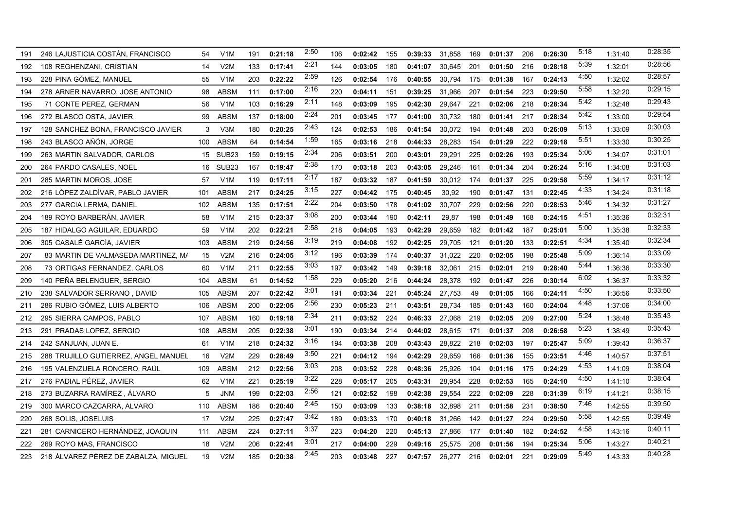| 191 | 246 LAJUSTICIA COSTÁN, FRANCISCO     | 54  | V1M               | 191 | 0:21:18 | 2:50 | 106 | 0:02:42 | 155 | 0:39:33 | 31.858 | 169 | 0:01:37 | 206 | 0:26:30 | 5:18 | 1:31:40 | 0:28:35 |
|-----|--------------------------------------|-----|-------------------|-----|---------|------|-----|---------|-----|---------|--------|-----|---------|-----|---------|------|---------|---------|
| 192 | 108 REGHENZANI, CRISTIAN             | 14  | V2M               | 133 | 0:17:41 | 2:21 | 144 | 0:03:05 | 180 | 0:41:07 | 30,645 | 201 | 0:01:50 | 216 | 0:28:18 | 5:39 | 1:32:01 | 0.28:56 |
| 193 | 228 PINA GÓMEZ, MANUEL               | 55  | V1M               | 203 | 0:22:22 | 2:59 | 126 | 0:02:54 | 176 | 0:40:55 | 30,794 | 175 | 0:01:38 | 167 | 0:24:13 | 4:50 | 1:32:02 | 0:28:57 |
| 194 | 278 ARNER NAVARRO, JOSE ANTONIO      | 98  | <b>ABSM</b>       | 111 | 0:17:00 | 2:16 | 220 | 0:04:11 | 151 | 0:39:25 | 31,966 | 207 | 0:01:54 | 223 | 0:29:50 | 5:58 | 1:32:20 | 0:29:15 |
| 195 | 71 CONTE PEREZ, GERMAN               | 56  | V <sub>1</sub> M  | 103 | 0:16:29 | 2:11 | 148 | 0:03:09 | 195 | 0:42:30 | 29,647 | 221 | 0:02:06 | 218 | 0:28:34 | 5:42 | 1:32:48 | 0:29:43 |
| 196 | 272 BLASCO OSTA, JAVIER              | 99  | <b>ABSM</b>       | 137 | 0:18:00 | 2:24 | 201 | 0:03:45 | 177 | 0:41:00 | 30,732 | 180 | 0:01:41 | 217 | 0:28:34 | 5:42 | 1:33:00 | 0:29:54 |
| 197 | 128 SANCHEZ BONA, FRANCISCO JAVIER   | 3   | V3M               | 180 | 0:20:25 | 2:43 | 124 | 0:02:53 | 186 | 0:41:54 | 30,072 | 194 | 0:01:48 | 203 | 0:26:09 | 5:13 | 1:33:09 | 0:30:03 |
| 198 | 243 BLASCO AÑON, JORGE               | 100 | <b>ABSM</b>       | 64  | 0:14:54 | 1:59 | 165 | 0:03:16 | 218 | 0:44:33 | 28,283 | 154 | 0:01:29 | 222 | 0:29:18 | 5:51 | 1:33:30 | 0:30:25 |
| 199 | 263 MARTIN SALVADOR, CARLOS          |     | 15 SUB23          | 159 | 0:19:15 | 2:34 | 206 | 0:03:51 | 200 | 0:43:01 | 29,291 | 225 | 0:02:26 | 193 | 0:25:34 | 5:06 | 1:34:07 | 0.31:01 |
| 200 | 264 PARDO CASALES, NOEL              | 16  | SUB <sub>23</sub> | 167 | 0:19:47 | 2:38 | 170 | 0:03:18 | 203 | 0:43:05 | 29,246 | 161 | 0:01:34 | 204 | 0:26:24 | 5:16 | 1:34:08 | 0:31:03 |
| 201 | 285 MARTIN MOROS, JOSE               | 57  | V <sub>1</sub> M  | 119 | 0:17:11 | 2:17 | 187 | 0:03:32 | 187 | 0:41:59 | 30,012 | 174 | 0:01:37 | 225 | 0:29:58 | 5:59 | 1:34:17 | 0:31:12 |
| 202 | 216 LÓPEZ ZALDÍVAR, PABLO JAVIER     | 101 | ABSM              | 217 | 0:24:25 | 3:15 | 227 | 0:04:42 | 175 | 0:40:45 | 30,92  | 190 | 0:01:47 | 131 | 0:22:45 | 4:33 | 1:34:24 | 0.31:18 |
| 203 | 277 GARCIA LERMA, DANIEL             | 102 | <b>ABSM</b>       | 135 | 0:17:51 | 2:22 | 204 | 0:03:50 | 178 | 0:41:02 | 30,707 | 229 | 0:02:56 | 220 | 0:28:53 | 5:46 | 1:34:32 | 0:31:27 |
| 204 | 189 ROYO BARBERÁN, JAVIER            | 58  | V1M               | 215 | 0:23:37 | 3:08 | 200 | 0:03:44 | 190 | 0:42:11 | 29,87  | 198 | 0:01:49 | 168 | 0:24:15 | 4:51 | 1:35:36 | 0:32:31 |
| 205 | 187 HIDALGO AGUILAR, EDUARDO         | 59  | V <sub>1</sub> M  | 202 | 0:22:21 | 2:58 | 218 | 0:04:05 | 193 | 0:42:29 | 29,659 | 182 | 0:01:42 | 187 | 0:25:01 | 5:00 | 1:35:38 | 0:32:33 |
| 206 | 305 CASALÉ GARCÍA, JAVIER            | 103 | <b>ABSM</b>       | 219 | 0:24:56 | 3:19 | 219 | 0:04:08 | 192 | 0:42:25 | 29,705 | 121 | 0:01:20 | 133 | 0:22:51 | 4:34 | 1:35:40 | 0:32:34 |
| 207 | 83 MARTIN DE VALMASEDA MARTINEZ. M/  | 15  | V2M               | 216 | 0:24:05 | 3:12 | 196 | 0:03:39 | 174 | 0:40:37 | 31,022 | 220 | 0:02:05 | 198 | 0:25:48 | 5:09 | 1:36:14 | 0:33:09 |
| 208 | 73 ORTIGAS FERNANDEZ, CARLOS         | 60  | V <sub>1</sub> M  | 211 | 0:22:55 | 3:03 | 197 | 0:03:42 | 149 | 0:39:18 | 32,061 | 215 | 0:02:01 | 219 | 0:28:40 | 5:44 | 1:36:36 | 0:33:30 |
| 209 | 140 PEÑA BELENGUER, SERGIO           | 104 | <b>ABSM</b>       | 61  | 0:14:52 | 1:58 | 229 | 0:05:20 | 216 | 0:44:24 | 28,378 | 192 | 0:01:47 | 226 | 0:30:14 | 6:02 | 1:36:37 | 0:33:32 |
| 210 | 238 SALVADOR SERRANO, DAVID          | 105 | <b>ABSM</b>       | 207 | 0:22:42 | 3:01 | 191 | 0:03:34 | 221 | 0:45:24 | 27,753 | 49  | 0:01:05 | 166 | 0:24:11 | 4:50 | 1:36:56 | 0:33:50 |
| 211 | 286 RUBIO GÓMEZ, LUIS ALBERTO        | 106 | ABSM              | 200 | 0:22:05 | 2:56 | 230 | 0:05:23 | 211 | 0:43:51 | 28,734 | 185 | 0:01:43 | 160 | 0:24:04 | 4:48 | 1:37:06 | 0:34:00 |
| 212 | 295 SIERRA CAMPOS, PABLO             | 107 | <b>ABSM</b>       | 160 | 0:19:18 | 2:34 | 211 | 0:03:52 | 224 | 0:46:33 | 27,068 | 219 | 0:02:05 | 209 | 0:27:00 | 5:24 | 1:38:48 | 0:35:43 |
| 213 | 291 PRADAS LOPEZ, SERGIO             | 108 | <b>ABSM</b>       | 205 | 0:22:38 | 3:01 | 190 | 0:03:34 | 214 | 0:44:02 | 28,615 | 171 | 0:01:37 | 208 | 0:26:58 | 5:23 | 1:38:49 | 0:35:43 |
| 214 | 242 SANJUAN, JUAN E.                 | 61  | V1M               | 218 | 0:24:32 | 3:16 | 194 | 0:03:38 | 208 | 0:43:43 | 28,822 | 218 | 0:02:03 | 197 | 0:25:47 | 5:09 | 1:39:43 | 0:36:37 |
| 215 | 288 TRUJILLO GUTIERREZ, ANGEL MANUEL | 16  | V2M               | 229 | 0:28:49 | 3:50 | 221 | 0:04:12 | 194 | 0:42:29 | 29,659 | 166 | 0:01:36 | 155 | 0:23:51 | 4:46 | 1:40:57 | 0.37.51 |
| 216 | 195 VALENZUELA RONCERO, RAUL         | 109 | <b>ABSM</b>       | 212 | 0:22:56 | 3:03 | 208 | 0:03:52 | 228 | 0:48:36 | 25,926 | 104 | 0:01:16 | 175 | 0:24:29 | 4:53 | 1:41:09 | 0:38:04 |
| 217 | 276 PADIAL PÉREZ, JAVIER             | 62  | V <sub>1</sub> M  | 221 | 0:25:19 | 3:22 | 228 | 0:05:17 | 205 | 0:43:31 | 28,954 | 228 | 0:02:53 | 165 | 0:24:10 | 4:50 | 1:41:10 | 0.38:04 |
| 218 | 273 BUZARRA RAMÍREZ, ÁLVARO          | 5   | <b>JNM</b>        | 199 | 0:22:03 | 2:56 | 121 | 0:02:52 | 198 | 0:42:38 | 29,554 | 222 | 0:02:09 | 228 | 0:31:39 | 6:19 | 1:41:21 | 0:38:15 |
| 219 | 300 MARCO CAZCARRA, ALVARO           | 110 | <b>ABSM</b>       | 186 | 0:20:40 | 2:45 | 150 | 0:03:09 | 133 | 0:38:18 | 32,898 | 211 | 0:01:58 | 231 | 0:38:50 | 7:46 | 1:42:55 | 0:39:50 |
| 220 | 268 SOLIS, JOSELUIS                  | 17  | V2M               | 225 | 0:27:47 | 3:42 | 189 | 0:03:33 | 170 | 0:40:18 | 31.266 | 142 | 0:01:27 | 224 | 0:29:50 | 5:58 | 1:42:55 | 0:39:49 |
| 221 | 281 CARNICERO HERNÁNDEZ, JOAQUIN     | 111 | ABSM              | 224 | 0:27:11 | 3:37 | 223 | 0:04:20 | 220 | 0:45:13 | 27,866 | 177 | 0:01:40 | 182 | 0:24:52 | 4:58 | 1:43:16 | 0.40:11 |
| 222 | 269 ROYO MAS, FRANCISCO              | 18  | V2M               | 206 | 0:22:41 | 3:01 | 217 | 0:04:00 | 229 | 0:49:16 | 25,575 | 208 | 0:01:56 | 194 | 0:25:34 | 5:06 | 1:43:27 | 0.40:21 |
| 223 | 218 ÁLVAREZ PÉREZ DE ZABALZA. MIGUEL | 19  | V2M               | 185 | 0:20:38 | 2:45 | 203 | 0:03:48 | 227 | 0:47:57 | 26,277 | 216 | 0:02:01 | 221 | 0:29:09 | 5:49 | 1:43:33 | 0:40:28 |